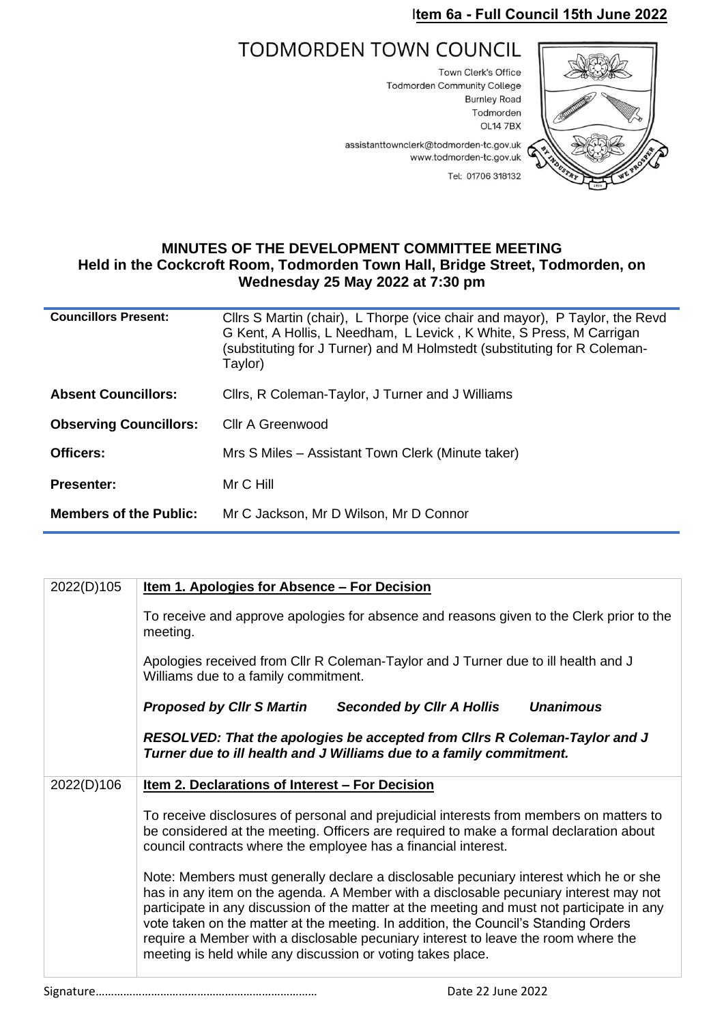## I**tem 6a - Full Council 15th June 2022**

## **TODMORDEN TOWN COUNCIL**

Town Clerk's Office **Todmorden Community College Burnley Road** Todmorden **OL14 7BX** 



assistanttownclerk@todmorden-tc.gov.uk www.todmorden-tc.gov.uk Tel: 01706 318132

## **MINUTES OF THE DEVELOPMENT COMMITTEE MEETING Held in the Cockcroft Room, Todmorden Town Hall, Bridge Street, Todmorden, on Wednesday 25 May 2022 at 7:30 pm**

| <b>Councillors Present:</b>   | Cllrs S Martin (chair), L Thorpe (vice chair and mayor), P Taylor, the Revd<br>G Kent, A Hollis, L Needham, L Levick, K White, S Press, M Carrigan<br>(substituting for J Turner) and M Holmstedt (substituting for R Coleman-<br>Taylor) |  |
|-------------------------------|-------------------------------------------------------------------------------------------------------------------------------------------------------------------------------------------------------------------------------------------|--|
| <b>Absent Councillors:</b>    | Cllrs, R Coleman-Taylor, J Turner and J Williams                                                                                                                                                                                          |  |
| <b>Observing Councillors:</b> | Cllr A Greenwood                                                                                                                                                                                                                          |  |
| Officers:                     | Mrs S Miles - Assistant Town Clerk (Minute taker)                                                                                                                                                                                         |  |
| <b>Presenter:</b>             | Mr C Hill                                                                                                                                                                                                                                 |  |
| <b>Members of the Public:</b> | Mr C Jackson, Mr D Wilson, Mr D Connor                                                                                                                                                                                                    |  |

| <u>Item 1. Apologies for Absence - For Decision</u>                                                                                                                                                                                                                                                                                                                                                                                                                                                                      |
|--------------------------------------------------------------------------------------------------------------------------------------------------------------------------------------------------------------------------------------------------------------------------------------------------------------------------------------------------------------------------------------------------------------------------------------------------------------------------------------------------------------------------|
| To receive and approve apologies for absence and reasons given to the Clerk prior to the<br>meeting.                                                                                                                                                                                                                                                                                                                                                                                                                     |
| Apologies received from Cllr R Coleman-Taylor and J Turner due to ill health and J<br>Williams due to a family commitment.                                                                                                                                                                                                                                                                                                                                                                                               |
| <b>Proposed by CIIr S Martin</b><br><b>Unanimous</b><br><b>Seconded by CIIr A Hollis</b>                                                                                                                                                                                                                                                                                                                                                                                                                                 |
| RESOLVED: That the apologies be accepted from Clirs R Coleman-Taylor and J<br>Turner due to ill health and J Williams due to a family commitment.                                                                                                                                                                                                                                                                                                                                                                        |
| <u>Item 2. Declarations of Interest – For Decision</u>                                                                                                                                                                                                                                                                                                                                                                                                                                                                   |
| To receive disclosures of personal and prejudicial interests from members on matters to<br>be considered at the meeting. Officers are required to make a formal declaration about<br>council contracts where the employee has a financial interest.                                                                                                                                                                                                                                                                      |
| Note: Members must generally declare a disclosable pecuniary interest which he or she<br>has in any item on the agenda. A Member with a disclosable pecuniary interest may not<br>participate in any discussion of the matter at the meeting and must not participate in any<br>vote taken on the matter at the meeting. In addition, the Council's Standing Orders<br>require a Member with a disclosable pecuniary interest to leave the room where the<br>meeting is held while any discussion or voting takes place. |
|                                                                                                                                                                                                                                                                                                                                                                                                                                                                                                                          |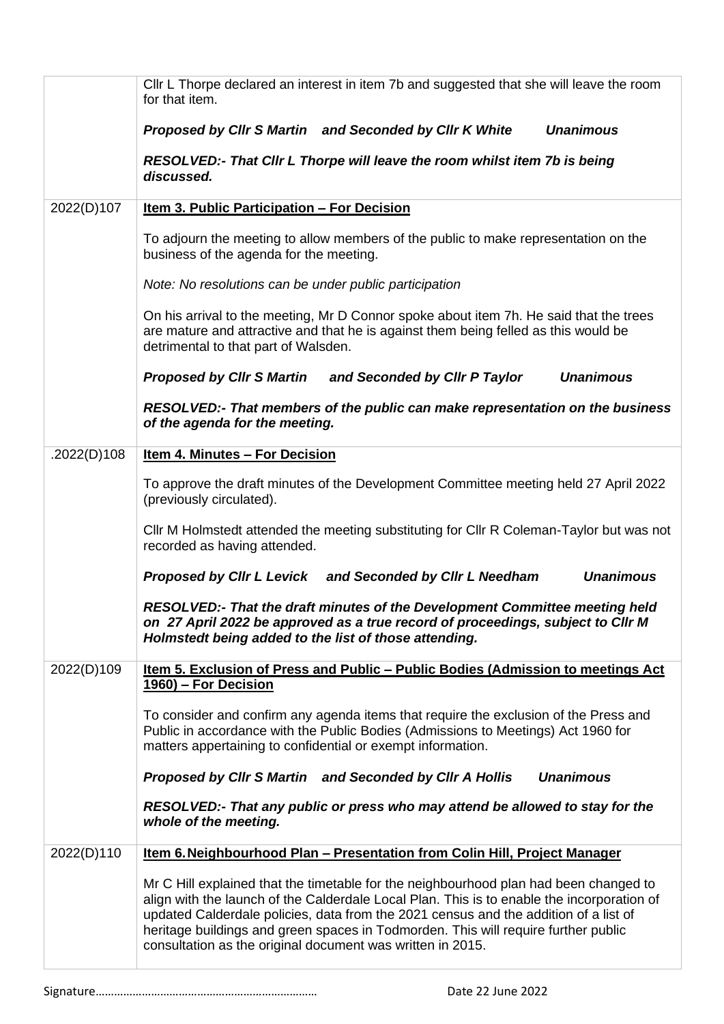|             | CIIr L Thorpe declared an interest in item 7b and suggested that she will leave the room<br>for that item.                                                                                                                                                                                                                                                                                                                      |
|-------------|---------------------------------------------------------------------------------------------------------------------------------------------------------------------------------------------------------------------------------------------------------------------------------------------------------------------------------------------------------------------------------------------------------------------------------|
|             | <b>Unanimous</b><br>Proposed by Cllr S Martin and Seconded by Cllr K White                                                                                                                                                                                                                                                                                                                                                      |
|             | RESOLVED:- That Cllr L Thorpe will leave the room whilst item 7b is being<br>discussed.                                                                                                                                                                                                                                                                                                                                         |
| 2022(D)107  | Item 3. Public Participation - For Decision                                                                                                                                                                                                                                                                                                                                                                                     |
|             | To adjourn the meeting to allow members of the public to make representation on the<br>business of the agenda for the meeting.                                                                                                                                                                                                                                                                                                  |
|             | Note: No resolutions can be under public participation                                                                                                                                                                                                                                                                                                                                                                          |
|             | On his arrival to the meeting, Mr D Connor spoke about item 7h. He said that the trees<br>are mature and attractive and that he is against them being felled as this would be<br>detrimental to that part of Walsden.                                                                                                                                                                                                           |
|             | <b>Unanimous</b><br>Proposed by Clir S Martin and Seconded by Clir P Taylor                                                                                                                                                                                                                                                                                                                                                     |
|             | RESOLVED:- That members of the public can make representation on the business<br>of the agenda for the meeting.                                                                                                                                                                                                                                                                                                                 |
| .2022(D)108 | <b>Item 4. Minutes - For Decision</b>                                                                                                                                                                                                                                                                                                                                                                                           |
|             | To approve the draft minutes of the Development Committee meeting held 27 April 2022<br>(previously circulated).                                                                                                                                                                                                                                                                                                                |
|             | Cllr M Holmstedt attended the meeting substituting for Cllr R Coleman-Taylor but was not<br>recorded as having attended.                                                                                                                                                                                                                                                                                                        |
|             | Proposed by Cllr L Levick and Seconded by Cllr L Needham<br><b>Unanimous</b>                                                                                                                                                                                                                                                                                                                                                    |
|             | RESOLVED:- That the draft minutes of the Development Committee meeting held<br>on 27 April 2022 be approved as a true record of proceedings, subject to Cllr M<br>Holmstedt being added to the list of those attending.                                                                                                                                                                                                         |
| 2022(D)109  | Item 5. Exclusion of Press and Public - Public Bodies (Admission to meetings Act<br>1960) – For Decision                                                                                                                                                                                                                                                                                                                        |
|             | To consider and confirm any agenda items that require the exclusion of the Press and<br>Public in accordance with the Public Bodies (Admissions to Meetings) Act 1960 for<br>matters appertaining to confidential or exempt information.                                                                                                                                                                                        |
|             | Proposed by Cllr S Martin and Seconded by Cllr A Hollis<br><b>Unanimous</b>                                                                                                                                                                                                                                                                                                                                                     |
|             | RESOLVED:- That any public or press who may attend be allowed to stay for the<br>whole of the meeting.                                                                                                                                                                                                                                                                                                                          |
| 2022(D)110  | <u>Item 6. Neighbourhood Plan – Presentation from Colin Hill, Project Manager</u>                                                                                                                                                                                                                                                                                                                                               |
|             | Mr C Hill explained that the timetable for the neighbourhood plan had been changed to<br>align with the launch of the Calderdale Local Plan. This is to enable the incorporation of<br>updated Calderdale policies, data from the 2021 census and the addition of a list of<br>heritage buildings and green spaces in Todmorden. This will require further public<br>consultation as the original document was written in 2015. |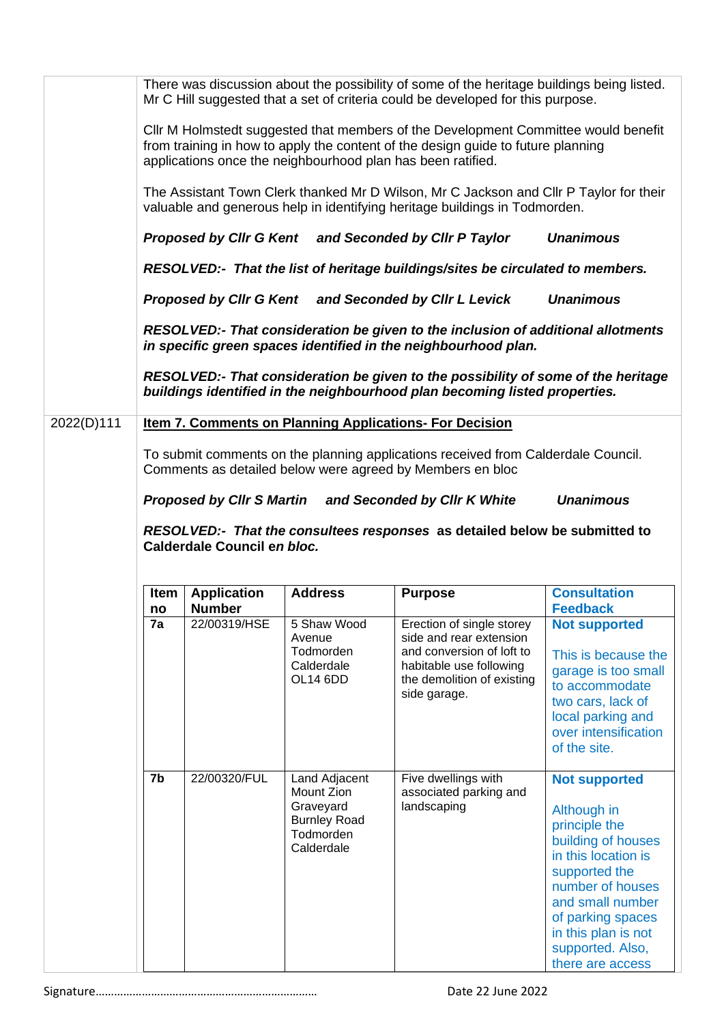|            |      |                                  |                             | There was discussion about the possibility of some of the heritage buildings being listed.<br>Mr C Hill suggested that a set of criteria could be developed for this purpose.                                                         |                                          |
|------------|------|----------------------------------|-----------------------------|---------------------------------------------------------------------------------------------------------------------------------------------------------------------------------------------------------------------------------------|------------------------------------------|
|            |      |                                  |                             | Cllr M Holmstedt suggested that members of the Development Committee would benefit<br>from training in how to apply the content of the design guide to future planning<br>applications once the neighbourhood plan has been ratified. |                                          |
|            |      |                                  |                             | The Assistant Town Clerk thanked Mr D Wilson, Mr C Jackson and Cllr P Taylor for their<br>valuable and generous help in identifying heritage buildings in Todmorden.                                                                  |                                          |
|            |      |                                  |                             | Proposed by Cllr G Kent and Seconded by Cllr P Taylor                                                                                                                                                                                 | <b>Unanimous</b>                         |
|            |      |                                  |                             | RESOLVED:- That the list of heritage buildings/sites be circulated to members.                                                                                                                                                        |                                          |
|            |      |                                  |                             | Proposed by Cllr G Kent and Seconded by Cllr L Levick                                                                                                                                                                                 | <b>Unanimous</b>                         |
|            |      |                                  |                             | RESOLVED:- That consideration be given to the inclusion of additional allotments<br>in specific green spaces identified in the neighbourhood plan.                                                                                    |                                          |
|            |      |                                  |                             | RESOLVED:- That consideration be given to the possibility of some of the heritage<br>buildings identified in the neighbourhood plan becoming listed properties.                                                                       |                                          |
| 2022(D)111 |      |                                  |                             | <b>Item 7. Comments on Planning Applications- For Decision</b>                                                                                                                                                                        |                                          |
|            |      |                                  |                             | To submit comments on the planning applications received from Calderdale Council.<br>Comments as detailed below were agreed by Members en bloc                                                                                        |                                          |
|            |      | <b>Proposed by Cllr S Martin</b> |                             | and Seconded by Cllr K White                                                                                                                                                                                                          | <b>Unanimous</b>                         |
|            |      |                                  |                             |                                                                                                                                                                                                                                       |                                          |
|            |      | Calderdale Council en bloc.      |                             | RESOLVED:- That the consultees responses as detailed below be submitted to                                                                                                                                                            |                                          |
|            |      |                                  |                             |                                                                                                                                                                                                                                       |                                          |
|            | Item | <b>Application</b>               | <b>Address</b>              | <b>Purpose</b>                                                                                                                                                                                                                        | <b>Consultation</b>                      |
|            | no   | <b>Number</b>                    |                             |                                                                                                                                                                                                                                       | <b>Feedback</b>                          |
|            | 7a   | 22/00319/HSE                     | 5 Shaw Wood<br>Avenue       | Erection of single storey<br>side and rear extension                                                                                                                                                                                  | <b>Not supported</b>                     |
|            |      |                                  | Todmorden                   | and conversion of loft to                                                                                                                                                                                                             | This is because the                      |
|            |      |                                  | Calderdale                  | habitable use following                                                                                                                                                                                                               | garage is too small                      |
|            |      |                                  | OL14 6DD                    | the demolition of existing                                                                                                                                                                                                            | to accommodate                           |
|            |      |                                  |                             | side garage.                                                                                                                                                                                                                          | two cars, lack of                        |
|            |      |                                  |                             |                                                                                                                                                                                                                                       | local parking and                        |
|            |      |                                  |                             |                                                                                                                                                                                                                                       | over intensification<br>of the site.     |
|            |      |                                  |                             |                                                                                                                                                                                                                                       |                                          |
|            | 7b   | 22/00320/FUL                     | Land Adjacent<br>Mount Zion | Five dwellings with                                                                                                                                                                                                                   | <b>Not supported</b>                     |
|            |      |                                  | Graveyard                   | associated parking and<br>landscaping                                                                                                                                                                                                 |                                          |
|            |      |                                  | <b>Burnley Road</b>         |                                                                                                                                                                                                                                       | Although in<br>principle the             |
|            |      |                                  | Todmorden                   |                                                                                                                                                                                                                                       | building of houses                       |
|            |      |                                  | Calderdale                  |                                                                                                                                                                                                                                       | in this location is                      |
|            |      |                                  |                             |                                                                                                                                                                                                                                       | supported the                            |
|            |      |                                  |                             |                                                                                                                                                                                                                                       | number of houses                         |
|            |      |                                  |                             |                                                                                                                                                                                                                                       |                                          |
|            |      |                                  |                             |                                                                                                                                                                                                                                       | and small number                         |
|            |      |                                  |                             |                                                                                                                                                                                                                                       | of parking spaces<br>in this plan is not |
|            |      |                                  |                             |                                                                                                                                                                                                                                       | supported. Also,<br>there are access     |

Signature……………………………………………………………… Date 22 June 2022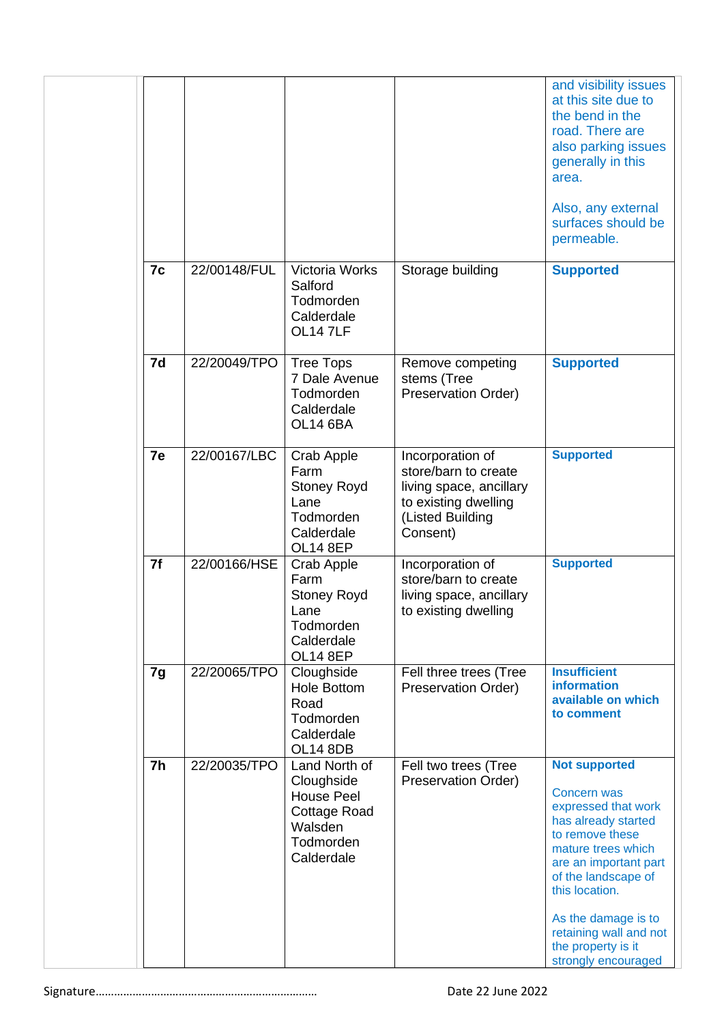|                |              |                                                                                                               |                                                                                                                             | and visibility issues<br>at this site due to<br>the bend in the<br>road. There are<br>also parking issues<br>generally in this<br>area.<br>Also, any external<br>surfaces should be<br>permeable.                                                                                          |
|----------------|--------------|---------------------------------------------------------------------------------------------------------------|-----------------------------------------------------------------------------------------------------------------------------|--------------------------------------------------------------------------------------------------------------------------------------------------------------------------------------------------------------------------------------------------------------------------------------------|
| 7c             | 22/00148/FUL | Victoria Works<br>Salford<br>Todmorden<br>Calderdale<br><b>OL147LF</b>                                        | Storage building                                                                                                            | <b>Supported</b>                                                                                                                                                                                                                                                                           |
| 7d             | 22/20049/TPO | <b>Tree Tops</b><br>7 Dale Avenue<br>Todmorden<br>Calderdale<br><b>OL14 6BA</b>                               | Remove competing<br>stems (Tree<br>Preservation Order)                                                                      | <b>Supported</b>                                                                                                                                                                                                                                                                           |
| 7e             | 22/00167/LBC | Crab Apple<br>Farm<br><b>Stoney Royd</b><br>Lane<br>Todmorden<br>Calderdale<br><b>OL14 8EP</b>                | Incorporation of<br>store/barn to create<br>living space, ancillary<br>to existing dwelling<br>(Listed Building<br>Consent) | <b>Supported</b>                                                                                                                                                                                                                                                                           |
| 7f             | 22/00166/HSE | Crab Apple<br>Farm<br><b>Stoney Royd</b><br>Lane<br>Todmorden<br>Calderdale<br><b>OL14 8EP</b>                | Incorporation of<br>store/barn to create<br>living space, ancillary<br>to existing dwelling                                 | <b>Supported</b>                                                                                                                                                                                                                                                                           |
| 7g             | 22/20065/TPO | Cloughside<br><b>Hole Bottom</b><br>Road<br>Todmorden<br>Calderdale<br><b>OL14 8DB</b>                        | Fell three trees (Tree<br>Preservation Order)                                                                               | <b>Insufficient</b><br>information<br>available on which<br>to comment                                                                                                                                                                                                                     |
| 7 <sub>h</sub> | 22/20035/TPO | Land North of<br>Cloughside<br><b>House Peel</b><br><b>Cottage Road</b><br>Walsden<br>Todmorden<br>Calderdale | Fell two trees (Tree<br>Preservation Order)                                                                                 | <b>Not supported</b><br>Concern was<br>expressed that work<br>has already started<br>to remove these<br>mature trees which<br>are an important part<br>of the landscape of<br>this location.<br>As the damage is to<br>retaining wall and not<br>the property is it<br>strongly encouraged |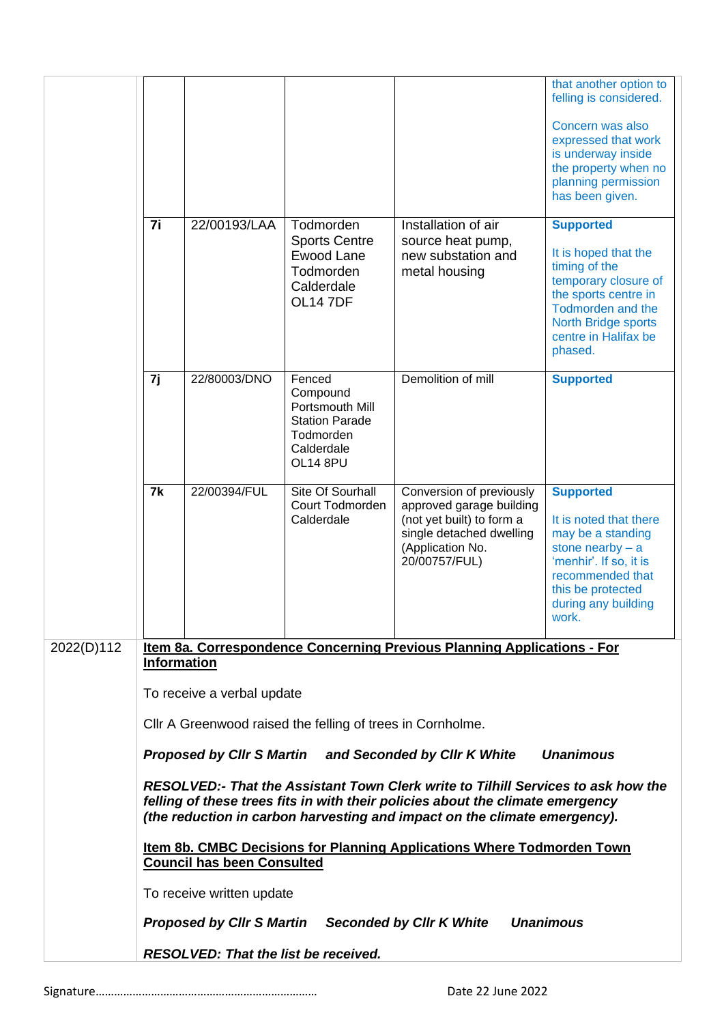|            |                                                                            |                                             |                                                                                                       |                                                                                                                                                                                                                                                  | that another option to<br>felling is considered.                                                                                                                                                       |
|------------|----------------------------------------------------------------------------|---------------------------------------------|-------------------------------------------------------------------------------------------------------|--------------------------------------------------------------------------------------------------------------------------------------------------------------------------------------------------------------------------------------------------|--------------------------------------------------------------------------------------------------------------------------------------------------------------------------------------------------------|
|            |                                                                            |                                             |                                                                                                       |                                                                                                                                                                                                                                                  | Concern was also<br>expressed that work<br>is underway inside<br>the property when no<br>planning permission<br>has been given.                                                                        |
|            | 7i                                                                         | 22/00193/LAA                                | Todmorden<br><b>Sports Centre</b><br>Ewood Lane<br>Todmorden<br>Calderdale<br><b>OL147DF</b>          | Installation of air<br>source heat pump,<br>new substation and<br>metal housing                                                                                                                                                                  | <b>Supported</b><br>It is hoped that the<br>timing of the<br>temporary closure of<br>the sports centre in<br><b>Todmorden and the</b><br><b>North Bridge sports</b><br>centre in Halifax be<br>phased. |
|            | 7j                                                                         | 22/80003/DNO                                | Fenced<br>Compound<br>Portsmouth Mill<br><b>Station Parade</b><br>Todmorden<br>Calderdale<br>OL14 8PU | Demolition of mill                                                                                                                                                                                                                               | <b>Supported</b>                                                                                                                                                                                       |
|            | 7k                                                                         | 22/00394/FUL                                | Site Of Sourhall<br>Court Todmorden<br>Calderdale                                                     | Conversion of previously<br>approved garage building<br>(not yet built) to form a<br>single detached dwelling<br>(Application No.<br>20/00757/FUL)                                                                                               | <b>Supported</b><br>It is noted that there<br>may be a standing<br>stone nearby $- a$<br>'menhir'. If so, it is<br>recommended that<br>this be protected<br>during any building<br>WOrk.               |
| 2022(D)112 | <b>Information</b>                                                         |                                             |                                                                                                       | Item 8a. Correspondence Concerning Previous Planning Applications - For                                                                                                                                                                          |                                                                                                                                                                                                        |
|            | To receive a verbal update                                                 |                                             |                                                                                                       |                                                                                                                                                                                                                                                  |                                                                                                                                                                                                        |
|            | Cllr A Greenwood raised the felling of trees in Cornholme.                 |                                             |                                                                                                       |                                                                                                                                                                                                                                                  |                                                                                                                                                                                                        |
|            | Proposed by Cllr S Martin and Seconded by Cllr K White<br><b>Unanimous</b> |                                             |                                                                                                       |                                                                                                                                                                                                                                                  |                                                                                                                                                                                                        |
|            |                                                                            |                                             |                                                                                                       | RESOLVED:- That the Assistant Town Clerk write to Tilhill Services to ask how the<br>felling of these trees fits in with their policies about the climate emergency<br>(the reduction in carbon harvesting and impact on the climate emergency). |                                                                                                                                                                                                        |
|            |                                                                            | <b>Council has been Consulted</b>           |                                                                                                       | <b>Item 8b. CMBC Decisions for Planning Applications Where Todmorden Town</b>                                                                                                                                                                    |                                                                                                                                                                                                        |
|            |                                                                            | To receive written update                   |                                                                                                       |                                                                                                                                                                                                                                                  |                                                                                                                                                                                                        |
|            |                                                                            | <b>Proposed by Cllr S Martin</b>            |                                                                                                       | <b>Seconded by Cllr K White</b>                                                                                                                                                                                                                  | <b>Unanimous</b>                                                                                                                                                                                       |
|            |                                                                            | <b>RESOLVED: That the list be received.</b> |                                                                                                       |                                                                                                                                                                                                                                                  |                                                                                                                                                                                                        |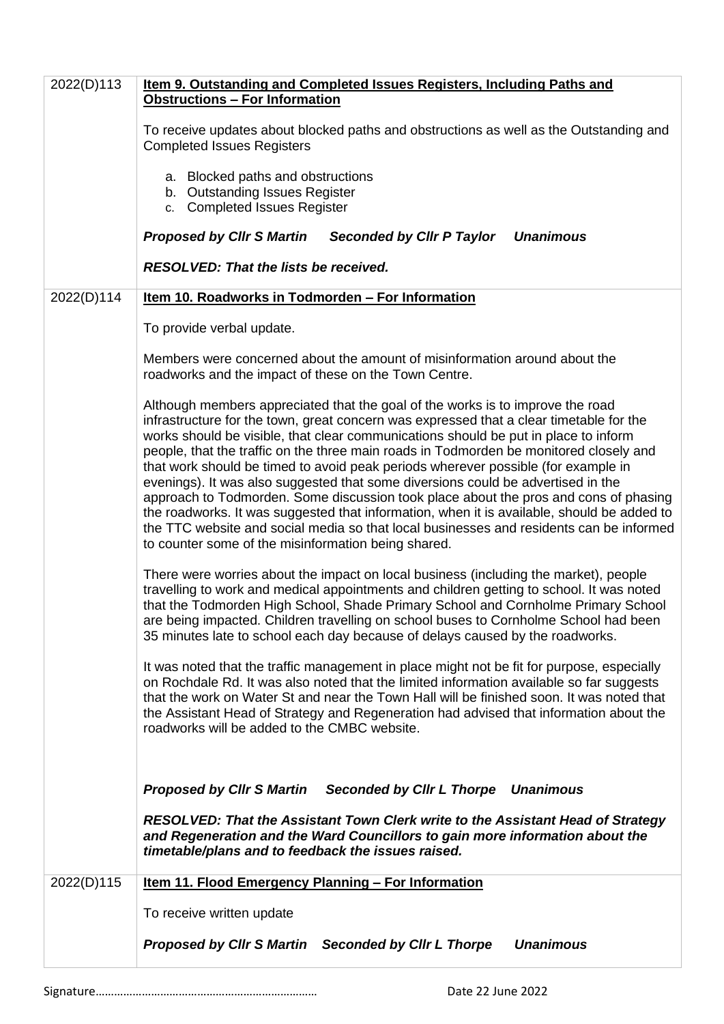| 2022(D)113 | Item 9. Outstanding and Completed Issues Registers, Including Paths and<br><b>Obstructions - For Information</b>                                                                                                                                                                                                                                                                                                                                                                                                                                                                                                                                                                                                                                                                                                                                                            |
|------------|-----------------------------------------------------------------------------------------------------------------------------------------------------------------------------------------------------------------------------------------------------------------------------------------------------------------------------------------------------------------------------------------------------------------------------------------------------------------------------------------------------------------------------------------------------------------------------------------------------------------------------------------------------------------------------------------------------------------------------------------------------------------------------------------------------------------------------------------------------------------------------|
|            | To receive updates about blocked paths and obstructions as well as the Outstanding and<br><b>Completed Issues Registers</b>                                                                                                                                                                                                                                                                                                                                                                                                                                                                                                                                                                                                                                                                                                                                                 |
|            | a. Blocked paths and obstructions<br>b. Outstanding Issues Register<br>c. Completed Issues Register                                                                                                                                                                                                                                                                                                                                                                                                                                                                                                                                                                                                                                                                                                                                                                         |
|            | <b>Proposed by CIIr S Martin</b><br>Seconded by Cllr P Taylor<br><b>Unanimous</b>                                                                                                                                                                                                                                                                                                                                                                                                                                                                                                                                                                                                                                                                                                                                                                                           |
|            | RESOLVED: That the lists be received.                                                                                                                                                                                                                                                                                                                                                                                                                                                                                                                                                                                                                                                                                                                                                                                                                                       |
| 2022(D)114 | Item 10. Roadworks in Todmorden - For Information                                                                                                                                                                                                                                                                                                                                                                                                                                                                                                                                                                                                                                                                                                                                                                                                                           |
|            | To provide verbal update.                                                                                                                                                                                                                                                                                                                                                                                                                                                                                                                                                                                                                                                                                                                                                                                                                                                   |
|            | Members were concerned about the amount of misinformation around about the<br>roadworks and the impact of these on the Town Centre.                                                                                                                                                                                                                                                                                                                                                                                                                                                                                                                                                                                                                                                                                                                                         |
|            | Although members appreciated that the goal of the works is to improve the road<br>infrastructure for the town, great concern was expressed that a clear timetable for the<br>works should be visible, that clear communications should be put in place to inform<br>people, that the traffic on the three main roads in Todmorden be monitored closely and<br>that work should be timed to avoid peak periods wherever possible (for example in<br>evenings). It was also suggested that some diversions could be advertised in the<br>approach to Todmorden. Some discussion took place about the pros and cons of phasing<br>the roadworks. It was suggested that information, when it is available, should be added to<br>the TTC website and social media so that local businesses and residents can be informed<br>to counter some of the misinformation being shared. |
|            | There were worries about the impact on local business (including the market), people<br>travelling to work and medical appointments and children getting to school. It was noted<br>that the Todmorden High School, Shade Primary School and Cornholme Primary School<br>are being impacted. Children travelling on school buses to Cornholme School had been<br>35 minutes late to school each day because of delays caused by the roadworks.                                                                                                                                                                                                                                                                                                                                                                                                                              |
|            | It was noted that the traffic management in place might not be fit for purpose, especially<br>on Rochdale Rd. It was also noted that the limited information available so far suggests<br>that the work on Water St and near the Town Hall will be finished soon. It was noted that<br>the Assistant Head of Strategy and Regeneration had advised that information about the<br>roadworks will be added to the CMBC website.                                                                                                                                                                                                                                                                                                                                                                                                                                               |
|            | <b>Proposed by CIIr S Martin</b><br>Seconded by Cllr L Thorpe Unanimous<br><b>RESOLVED: That the Assistant Town Clerk write to the Assistant Head of Strategy</b><br>and Regeneration and the Ward Councillors to gain more information about the<br>timetable/plans and to feedback the issues raised.                                                                                                                                                                                                                                                                                                                                                                                                                                                                                                                                                                     |
| 2022(D)115 | <b>Item 11. Flood Emergency Planning - For Information</b>                                                                                                                                                                                                                                                                                                                                                                                                                                                                                                                                                                                                                                                                                                                                                                                                                  |
|            | To receive written update                                                                                                                                                                                                                                                                                                                                                                                                                                                                                                                                                                                                                                                                                                                                                                                                                                                   |
|            | <b>Unanimous</b><br>Proposed by Cllr S Martin Seconded by Cllr L Thorpe                                                                                                                                                                                                                                                                                                                                                                                                                                                                                                                                                                                                                                                                                                                                                                                                     |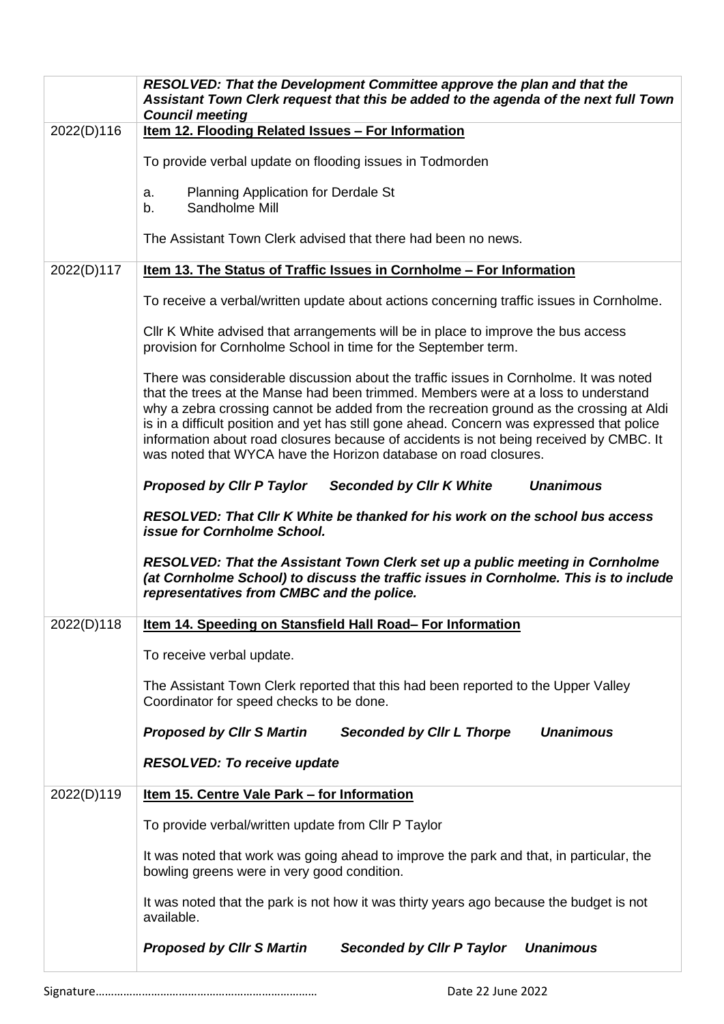|            | <b>RESOLVED: That the Development Committee approve the plan and that the</b><br>Assistant Town Clerk request that this be added to the agenda of the next full Town<br><b>Council meeting</b>                                                                                                                                                                                                                                                                                                                                    |
|------------|-----------------------------------------------------------------------------------------------------------------------------------------------------------------------------------------------------------------------------------------------------------------------------------------------------------------------------------------------------------------------------------------------------------------------------------------------------------------------------------------------------------------------------------|
| 2022(D)116 | Item 12. Flooding Related Issues - For Information                                                                                                                                                                                                                                                                                                                                                                                                                                                                                |
|            | To provide verbal update on flooding issues in Todmorden                                                                                                                                                                                                                                                                                                                                                                                                                                                                          |
|            | <b>Planning Application for Derdale St</b><br>a.<br>Sandholme Mill<br>b.                                                                                                                                                                                                                                                                                                                                                                                                                                                          |
|            | The Assistant Town Clerk advised that there had been no news.                                                                                                                                                                                                                                                                                                                                                                                                                                                                     |
| 2022(D)117 | Item 13. The Status of Traffic Issues in Cornholme - For Information                                                                                                                                                                                                                                                                                                                                                                                                                                                              |
|            | To receive a verbal/written update about actions concerning traffic issues in Cornholme.                                                                                                                                                                                                                                                                                                                                                                                                                                          |
|            | CIIr K White advised that arrangements will be in place to improve the bus access<br>provision for Cornholme School in time for the September term.                                                                                                                                                                                                                                                                                                                                                                               |
|            | There was considerable discussion about the traffic issues in Cornholme. It was noted<br>that the trees at the Manse had been trimmed. Members were at a loss to understand<br>why a zebra crossing cannot be added from the recreation ground as the crossing at Aldi<br>is in a difficult position and yet has still gone ahead. Concern was expressed that police<br>information about road closures because of accidents is not being received by CMBC. It<br>was noted that WYCA have the Horizon database on road closures. |
|            | <b>Unanimous</b><br><b>Proposed by Cllr P Taylor</b><br><b>Seconded by CIIr K White</b>                                                                                                                                                                                                                                                                                                                                                                                                                                           |
|            | <b>RESOLVED: That Cllr K White be thanked for his work on the school bus access</b><br>issue for Cornholme School.                                                                                                                                                                                                                                                                                                                                                                                                                |
|            | RESOLVED: That the Assistant Town Clerk set up a public meeting in Cornholme<br>(at Cornholme School) to discuss the traffic issues in Cornholme. This is to include<br>representatives from CMBC and the police.                                                                                                                                                                                                                                                                                                                 |
| 2022(D)118 | Item 14. Speeding on Stansfield Hall Road- For Information                                                                                                                                                                                                                                                                                                                                                                                                                                                                        |
|            | To receive verbal update.                                                                                                                                                                                                                                                                                                                                                                                                                                                                                                         |
|            | The Assistant Town Clerk reported that this had been reported to the Upper Valley<br>Coordinator for speed checks to be done.                                                                                                                                                                                                                                                                                                                                                                                                     |
|            | <b>Proposed by Cllr S Martin</b><br><b>Unanimous</b><br><b>Seconded by Cllr L Thorpe</b>                                                                                                                                                                                                                                                                                                                                                                                                                                          |
|            | <b>RESOLVED: To receive update</b>                                                                                                                                                                                                                                                                                                                                                                                                                                                                                                |
| 2022(D)119 | Item 15. Centre Vale Park - for Information                                                                                                                                                                                                                                                                                                                                                                                                                                                                                       |
|            | To provide verbal/written update from Cllr P Taylor                                                                                                                                                                                                                                                                                                                                                                                                                                                                               |
|            | It was noted that work was going ahead to improve the park and that, in particular, the<br>bowling greens were in very good condition.                                                                                                                                                                                                                                                                                                                                                                                            |
|            | It was noted that the park is not how it was thirty years ago because the budget is not<br>available.                                                                                                                                                                                                                                                                                                                                                                                                                             |
|            | <b>Unanimous</b><br><b>Proposed by CIIr S Martin</b><br><b>Seconded by Clir P Taylor</b>                                                                                                                                                                                                                                                                                                                                                                                                                                          |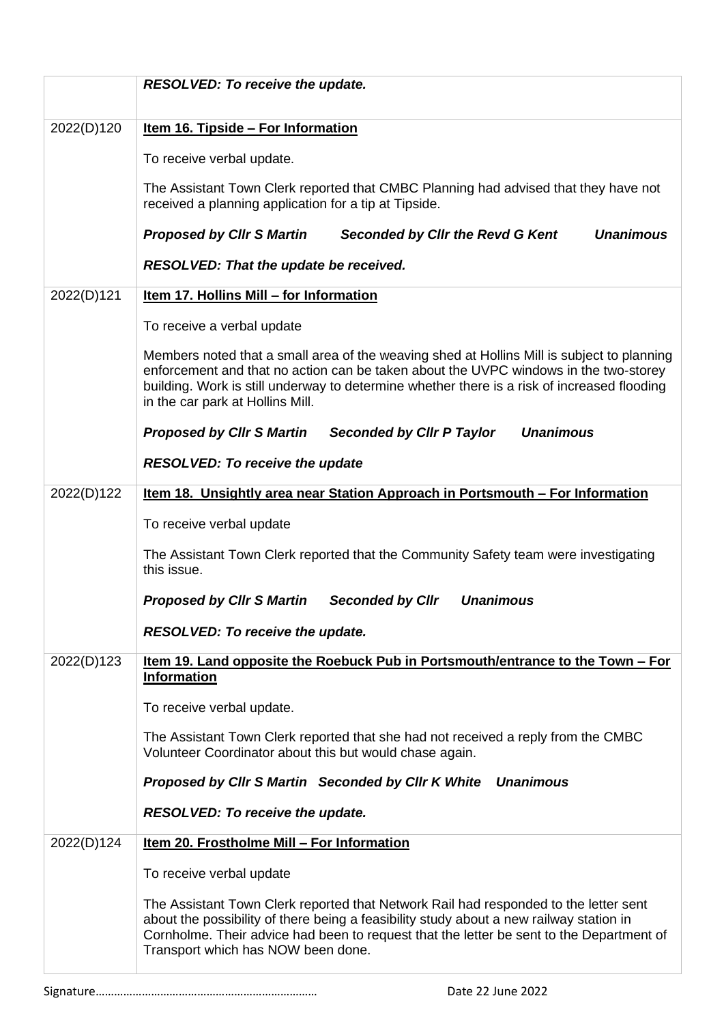|            | <b>RESOLVED: To receive the update.</b>                                                                                                                                                                                                                                                                               |
|------------|-----------------------------------------------------------------------------------------------------------------------------------------------------------------------------------------------------------------------------------------------------------------------------------------------------------------------|
| 2022(D)120 | <u>Item 16. Tipside - For Information</u>                                                                                                                                                                                                                                                                             |
|            | To receive verbal update.                                                                                                                                                                                                                                                                                             |
|            | The Assistant Town Clerk reported that CMBC Planning had advised that they have not<br>received a planning application for a tip at Tipside.                                                                                                                                                                          |
|            | <b>Proposed by CIIr S Martin</b><br>Seconded by Cllr the Revd G Kent<br><b>Unanimous</b>                                                                                                                                                                                                                              |
|            | <b>RESOLVED: That the update be received.</b>                                                                                                                                                                                                                                                                         |
| 2022(D)121 | Item 17. Hollins Mill - for Information                                                                                                                                                                                                                                                                               |
|            | To receive a verbal update                                                                                                                                                                                                                                                                                            |
|            | Members noted that a small area of the weaving shed at Hollins Mill is subject to planning<br>enforcement and that no action can be taken about the UVPC windows in the two-storey<br>building. Work is still underway to determine whether there is a risk of increased flooding<br>in the car park at Hollins Mill. |
|            | <b>Unanimous</b><br><b>Proposed by Cllr S Martin</b><br><b>Seconded by Cllr P Taylor</b>                                                                                                                                                                                                                              |
|            | <b>RESOLVED: To receive the update</b>                                                                                                                                                                                                                                                                                |
| 2022(D)122 | Item 18. Unsightly area near Station Approach in Portsmouth - For Information                                                                                                                                                                                                                                         |
|            | To receive verbal update                                                                                                                                                                                                                                                                                              |
|            | The Assistant Town Clerk reported that the Community Safety team were investigating<br>this issue.                                                                                                                                                                                                                    |
|            | <b>Seconded by Cllr</b><br><b>Unanimous</b><br><b>Proposed by CIIr S Martin</b>                                                                                                                                                                                                                                       |
|            | <b>RESOLVED: To receive the update.</b>                                                                                                                                                                                                                                                                               |
| 2022(D)123 | Item 19. Land opposite the Roebuck Pub in Portsmouth/entrance to the Town - For<br><b>Information</b>                                                                                                                                                                                                                 |
|            | To receive verbal update.                                                                                                                                                                                                                                                                                             |
|            | The Assistant Town Clerk reported that she had not received a reply from the CMBC<br>Volunteer Coordinator about this but would chase again.                                                                                                                                                                          |
|            | Proposed by Cllr S Martin Seconded by Cllr K White Unanimous                                                                                                                                                                                                                                                          |
|            | <b>RESOLVED: To receive the update.</b>                                                                                                                                                                                                                                                                               |
| 2022(D)124 | Item 20. Frostholme Mill - For Information                                                                                                                                                                                                                                                                            |
|            | To receive verbal update                                                                                                                                                                                                                                                                                              |
|            | The Assistant Town Clerk reported that Network Rail had responded to the letter sent<br>about the possibility of there being a feasibility study about a new railway station in<br>Cornholme. Their advice had been to request that the letter be sent to the Department of<br>Transport which has NOW been done.     |